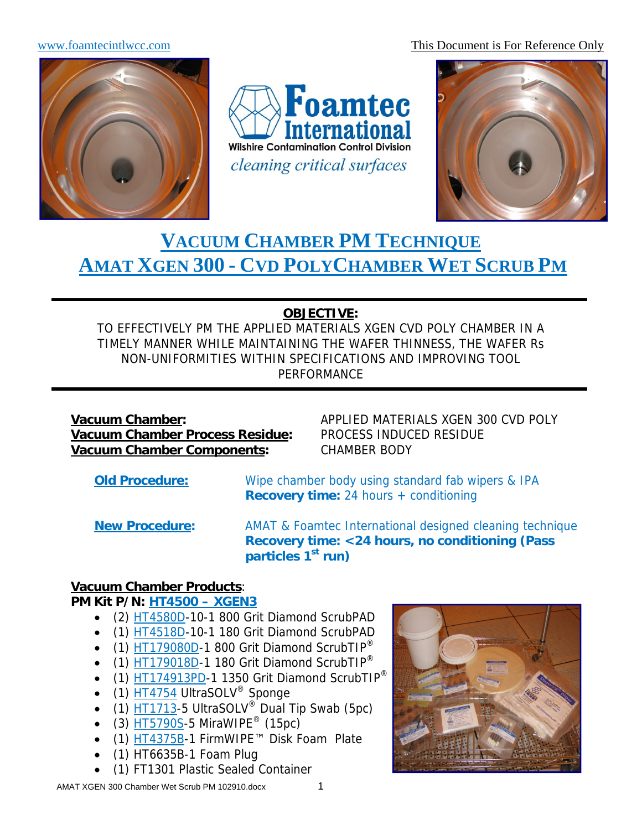www.foamtecintlwcc.com This Document is For Reference Only



**Foamtec** International **Wilshire Contamination Control Division** cleaning critical surfaces



# **VACUUM CHAMBER PM TECHNIQUE AMAT XGEN 300 - CVD POLYCHAMBER WET SCRUB PM**

# **OBJECTIVE:**

TO EFFECTIVELY PM THE APPLIED MATERIALS XGEN CVD POLY CHAMBER IN A TIMELY MANNER WHILE MAINTAINING THE WAFER THINNESS, THE WAFER Rs NON-UNIFORMITIES WITHIN SPECIFICATIONS AND IMPROVING TOOL PERFORMANCE

**Vacuum Chamber Process Residue:** PROCESS INDUCED RESIDUE **Vacuum Chamber Components:** CHAMBER BODY

**Vacuum Chamber:** APPLIED MATERIALS XGEN 300 CVD POLY

**Old Procedure:** Wipe chamber body using standard fab wipers & IPA **Recovery time:** 24 hours + conditioning

**New Procedure:** AMAT & Foamtec International designed cleaning technique **Recovery time: <24 hours, no conditioning (Pass particles 1st run)**

## **Vacuum Chamber Products**:

#### **PM Kit P/N: HT4500 – XGEN3**

- (2) HT4580D-10-1 800 Grit Diamond ScrubPAD
- (1) HT4518D-10-1 180 Grit Diamond ScrubPAD
- $\bullet$  (1) HT179080D-1 800 Grit Diamond ScrubTIP®
- (1) HT179018D-1 180 Grit Diamond ScrubTIP<sup>®</sup>
- $\bullet$  (1) HT174913PD-1 1350 Grit Diamond ScrubTIP<sup>®</sup>
- (1) HT4754 UltraSOLV<sup>®</sup> Sponge
- (1)  $\frac{H T 1713}{5}$  UltraSOLV<sup>®</sup> Dual Tip Swab (5pc)
- $(3)$  HT5790S-5 MiraWIPE<sup>®</sup> (15pc)
- (1) HT4375B-1 FirmWIPE™ Disk Foam Plate
- (1) HT6635B-1 Foam Plug
- (1) FT1301 Plastic Sealed Container

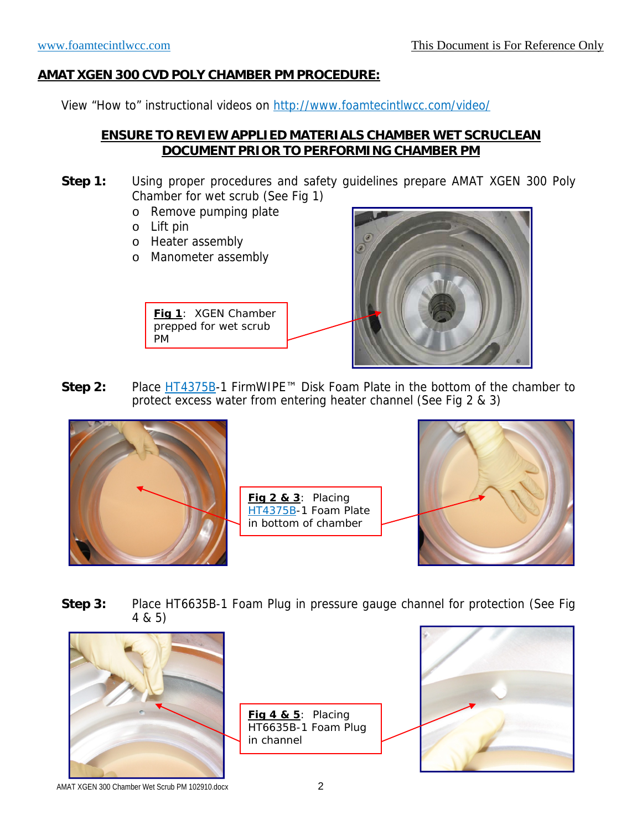View "How to" instructional videos on http://www.foamtecintlwcc.com/video/

#### **ENSURE TO REVIEW APPLIED MATERIALS CHAMBER WET SCRUCLEAN DOCUMENT PRIOR TO PERFORMING CHAMBER PM**

- **Step 1:** Using proper procedures and safety guidelines prepare AMAT XGEN 300 Poly Chamber for wet scrub (See Fig 1)
	- o Remove pumping plate
	- o Lift pin
	- o Heater assembly
	- o Manometer assembly

**Fig 1**: XGEN Chamber prepped for wet scrub PM



**Step 2:** Place HT4375B-1 FirmWIPE™ Disk Foam Plate in the bottom of the chamber to protect excess water from entering heater channel (See Fig 2 & 3)



**Fig 2 & 3**: Placing HT4375B-1 Foam Plate in bottom of chamber



**Step 3:** Place HT6635B-1 Foam Plug in pressure gauge channel for protection (See Fig 4 & 5)

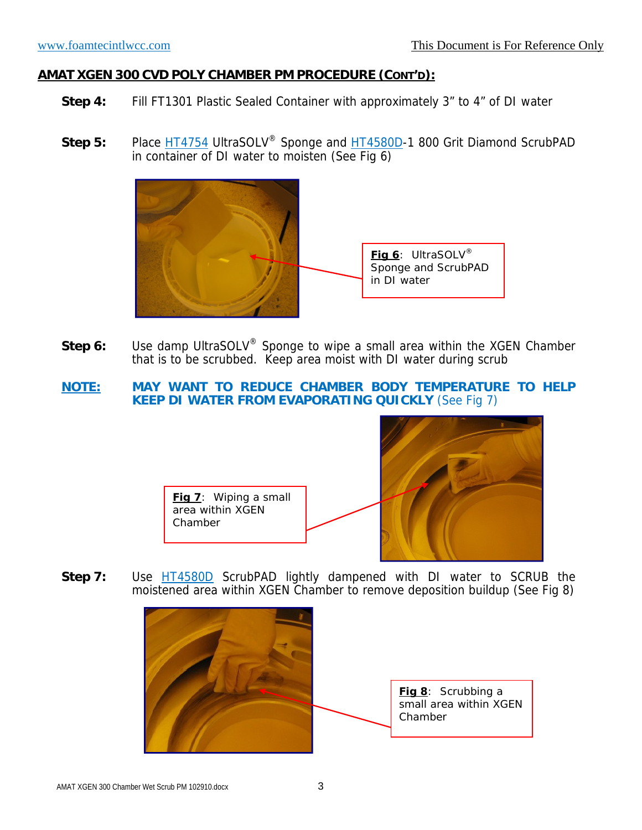- **Step 4:** Fill FT1301 Plastic Sealed Container with approximately 3" to 4" of DI water
- Step 5: Place HT4754 UltraSOLV<sup>®</sup> Sponge and HT4580D-1 800 Grit Diamond ScrubPAD in container of DI water to moisten (See Fig 6)



- **Step 6:** Use damp UltraSOLV<sup>®</sup> Sponge to wipe a small area within the XGEN Chamber that is to be scrubbed. Keep area moist with DI water during scrub
- **NOTE: MAY WANT TO REDUCE CHAMBER BODY TEMPERATURE TO HELP KEEP DI WATER FROM EVAPORATING QUICKLY** (See Fig 7)

**Fig 7**: Wiping a small area within XGEN Chamber



**Step 7:** Use HT4580D ScrubPAD lightly dampened with DI water to SCRUB the moistened area within XGEN Chamber to remove deposition buildup (See Fig 8)

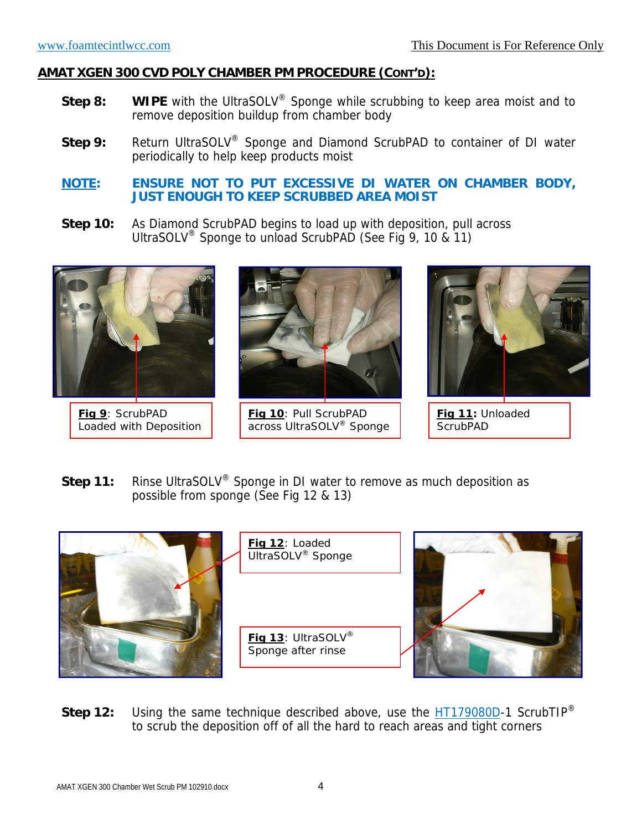- **Step 8: WIPE** with the UltraSOLV® Sponge while scrubbing to keep area moist and to remove deposition buildup from chamber body
- **Step 9:** Return UltraSOLV® Sponge and Diamond ScrubPAD to container of DI water periodically to help keep products moist
- **NOTE: ENSURE NOT TO PUT EXCESSIVE DI WATER ON CHAMBER BODY, JUST ENOUGH TO KEEP SCRUBBED AREA MOIST**
- **Step 10:** As Diamond ScrubPAD begins to load up with deposition, pull across UltraSOLV<sup>®</sup> Sponge to unload ScrubPAD (See Fig 9, 10 & 11)



**Fig 9**: ScrubPAD Loaded with Deposition



**Fig 10**: Pull ScrubPAD across UltraSOLV® Sponge



**Fig 11:** Unloaded **ScrubPAD** 

**Step 11:** Rinse UltraSOLV<sup>®</sup> Sponge in DI water to remove as much deposition as possible from sponge (See Fig 12 & 13)



**Step 12:** Using the same technique described above, use the HT179080D-1 ScrubTIP<sup>®</sup> to scrub the deposition off of all the hard to reach areas and tight corners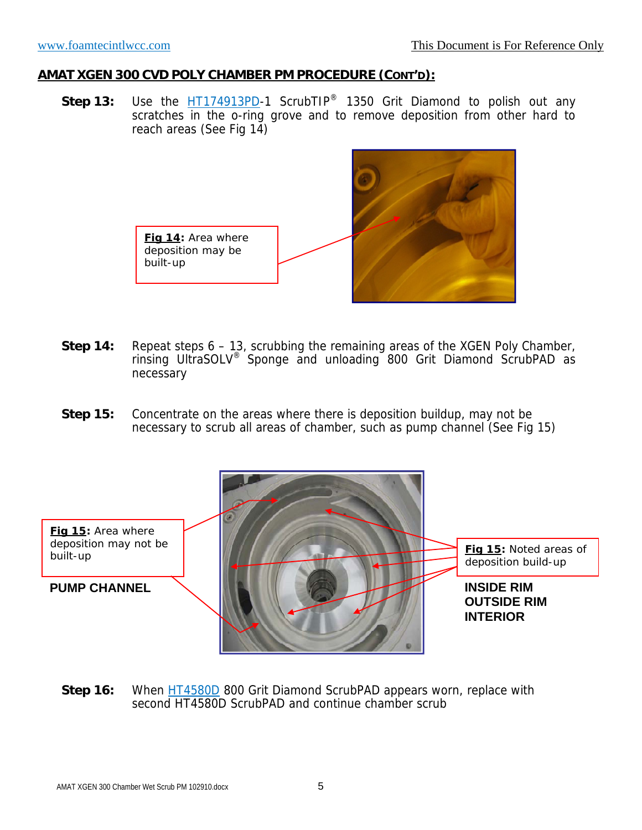**Step 13:** Use the **HT174913PD-1** ScrubTIP<sup>®</sup> 1350 Grit Diamond to polish out any scratches in the o-ring grove and to remove deposition from other hard to reach areas (See Fig 14)



- **Step 14:** Repeat steps 6 13, scrubbing the remaining areas of the XGEN Poly Chamber, rinsing UltraSOLV® Sponge and unloading 800 Grit Diamond ScrubPAD as necessary
- **Step 15:** Concentrate on the areas where there is deposition buildup, may not be necessary to scrub all areas of chamber, such as pump channel (See Fig 15)



**Step 16:** When **HT4580D** 800 Grit Diamond ScrubPAD appears worn, replace with second HT4580D ScrubPAD and continue chamber scrub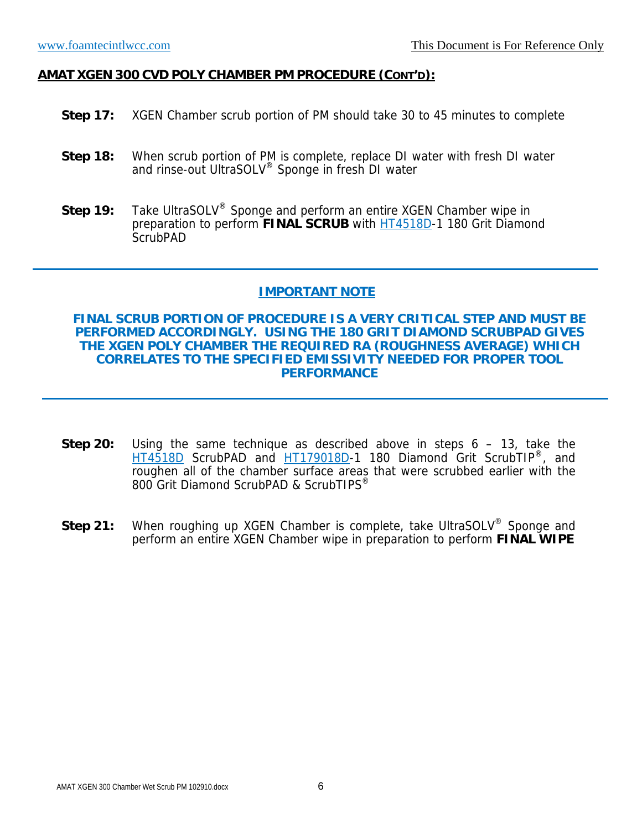- **Step 17:** XGEN Chamber scrub portion of PM should take 30 to 45 minutes to complete
- **Step 18:** When scrub portion of PM is complete, replace DI water with fresh DI water and rinse-out UltraSOLV® Sponge in fresh DI water
- **Step 19:** Take UltraSOLV<sup>®</sup> Sponge and perform an entire XGEN Chamber wipe in preparation to perform **FINAL SCRUB** with HT4518D-1 180 Grit Diamond ScrubPAD

#### **IMPORTANT NOTE**

#### **FINAL SCRUB PORTION OF PROCEDURE IS A VERY CRITICAL STEP AND MUST BE PERFORMED ACCORDINGLY. USING THE 180 GRIT DIAMOND SCRUBPAD GIVES THE XGEN POLY CHAMBER THE REQUIRED RA (ROUGHNESS AVERAGE) WHICH CORRELATES TO THE SPECIFIED EMISSIVITY NEEDED FOR PROPER TOOL PERFORMANCE**

- **Step 20:** Using the same technique as described above in steps 6 13, take the HT4518D ScrubPAD and HT179018D-1 180 Diamond Grit ScrubTIP®, and roughen all of the chamber surface areas that were scrubbed earlier with the 800 Grit Diamond ScrubPAD & ScrubTIPS<sup>®</sup>
- **Step 21:** When roughing up XGEN Chamber is complete, take UltraSOLV<sup>®</sup> Sponge and perform an entire XGEN Chamber wipe in preparation to perform **FINAL WIPE**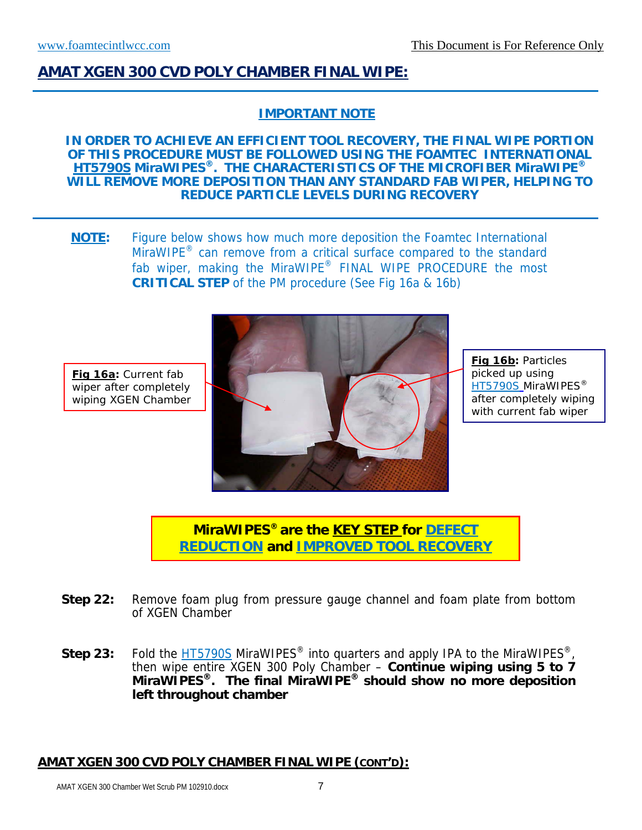# **AMAT XGEN 300 CVD POLY CHAMBER FINAL WIPE:**

### **IMPORTANT NOTE**

**IN ORDER TO ACHIEVE AN EFFICIENT TOOL RECOVERY, THE FINAL WIPE PORTION OF THIS PROCEDURE MUST BE FOLLOWED USING THE FOAMTEC INTERNATIONAL HT5790S MiraWIPES®. THE CHARACTERISTICS OF THE MICROFIBER MiraWIPE® WILL REMOVE MORE DEPOSITION THAN ANY STANDARD FAB WIPER, HELPING TO REDUCE PARTICLE LEVELS DURING RECOVERY** 

**NOTE:** Figure below shows how much more deposition the Foamtec International MiraWIPE<sup>®</sup> can remove from a critical surface compared to the standard fab wiper, making the MiraWIPE® FINAL WIPE PROCEDURE the most **CRITICAL STEP** of the PM procedure (See Fig 16a & 16b)





**Fig 16b:** Particles picked up using HT5790S MiraWIPES® after completely wiping with current fab wiper

**MiraWIPES® are the KEY STEP for DEFECT REDUCTION and IMPROVED TOOL RECOVERY**

- **Step 22:** Remove foam plug from pressure gauge channel and foam plate from bottom of XGEN Chamber
- **Step 23:** Fold the **HT5790S** MiraWIPES<sup>®</sup> into quarters and apply IPA to the MiraWIPES<sup>®</sup>, then wipe entire XGEN 300 Poly Chamber – **Continue wiping using 5 to 7 MiraWIPES®. The final MiraWIPE® should show no more deposition left throughout chamber**

#### **AMAT XGEN 300 CVD POLY CHAMBER FINAL WIPE (CONT'D):**